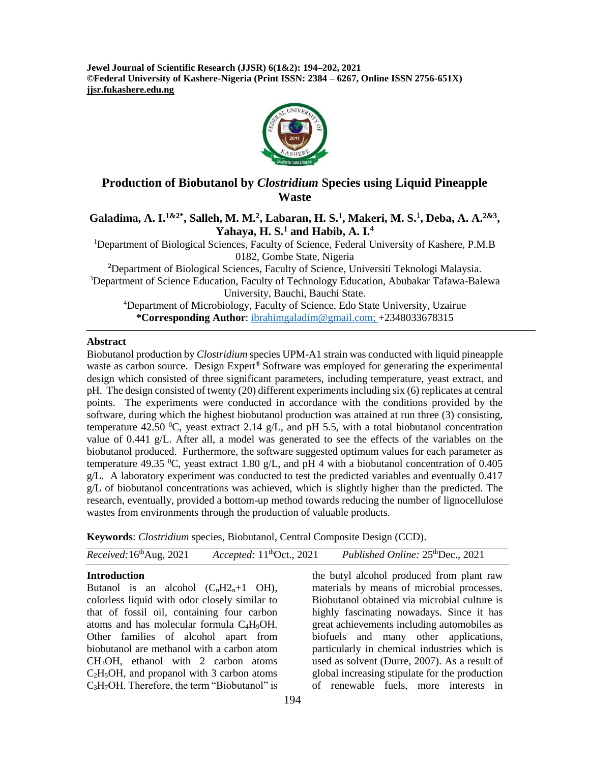**Jewel Journal of Scientific Research (JJSR) 6(1&2): 194–202, 2021 ©Federal University of Kashere-Nigeria (Print ISSN: 2384 – 6267, Online ISSN 2756-651X) jjsr.fukashere.edu.ng**



## **Production of Biobutanol by** *Clostridium* **Species using Liquid Pineapple Waste**

## **Galadima, A. I.1&2\* , Salleh, M. M.<sup>2</sup> , Labaran, H. S.<sup>1</sup> , Makeri, M. S.**<sup>1</sup> **, Deba, A. A. 2&3 , Yahaya, H. S.<sup>1</sup> and Habib, A. I.**<sup>4</sup>

<sup>1</sup>Department of Biological Sciences, Faculty of Science, Federal University of Kashere, P.M.B 0182, Gombe State, Nigeria

**<sup>2</sup>**Department of Biological Sciences, Faculty of Science, Universiti Teknologi Malaysia. <sup>3</sup>Department of Science Education, Faculty of Technology Education, Abubakar Tafawa-Balewa University, Bauchi, Bauchi State.

<sup>4</sup>Department of Microbiology, Faculty of Science, Edo State University, Uzairue **\*Corresponding Author**: [ibrahimgaladim@gmail.com;](mailto:ibrahimgaladim@gmail.com) +2348033678315

#### **Abstract**

Biobutanol production by *Clostridium* species UPM-A1 strain was conducted with liquid pineapple waste as carbon source. Design Expert<sup>®</sup> Software was employed for generating the experimental design which consisted of three significant parameters, including temperature, yeast extract, and pH. The design consisted of twenty (20) different experiments including six (6) replicates at central points. The experiments were conducted in accordance with the conditions provided by the software, during which the highest biobutanol production was attained at run three (3) consisting, temperature 42.50 °C, yeast extract 2.14  $g/L$ , and pH 5.5, with a total biobutanol concentration value of 0.441 g/L. After all, a model was generated to see the effects of the variables on the biobutanol produced. Furthermore, the software suggested optimum values for each parameter as temperature 49.35 <sup>o</sup>C, yeast extract 1.80  $g/L$ , and pH 4 with a biobutanol concentration of 0.405 g/L. A laboratory experiment was conducted to test the predicted variables and eventually 0.417  $g/L$  of biobutanol concentrations was achieved, which is slightly higher than the predicted. The research, eventually, provided a bottom-up method towards reducing the number of lignocellulose wastes from environments through the production of valuable products.

**Keywords**: *Clostridium* species, Biobutanol, Central Composite Design (CCD).

| <i>Received</i> : $16^{\text{th}}$ Aug, 2021 | Accepted: $11thOct., 2021$ | Published Online: 25 <sup>th</sup> Dec., 2021 |
|----------------------------------------------|----------------------------|-----------------------------------------------|

## **Introduction**

Butanol is an alcohol  $(C_nH2_n+1$  OH), colorless liquid with odor closely similar to that of fossil oil, containing four carbon atoms and has molecular formula C4H9OH. Other families of alcohol apart from biobutanol are methanol with a carbon atom  $CH<sub>3</sub>OH$ , ethanol with 2 carbon atoms  $C_2H_5OH$ , and propanol with 3 carbon atoms C<sub>3</sub>H<sub>7</sub>OH. Therefore, the term "Biobutanol" is

the butyl alcohol produced from plant raw materials by means of microbial processes. Biobutanol obtained via microbial culture is highly fascinating nowadays. Since it has great achievements including automobiles as biofuels and many other applications, particularly in chemical industries which is used as solvent (Durre, 2007). As a result of global increasing stipulate for the production of renewable fuels, more interests in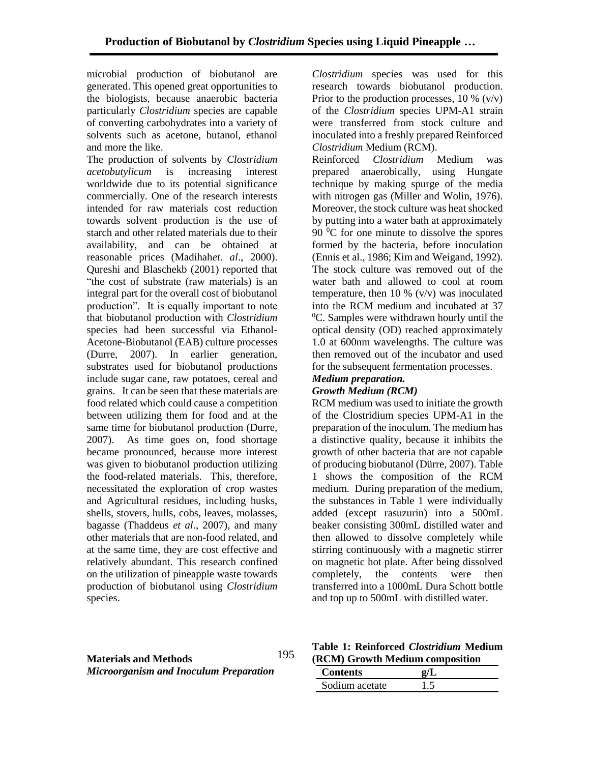microbial production of biobutanol are generated. This opened great opportunities to the biologists, because anaerobic bacteria particularly *Clostridium* species are capable of converting carbohydrates into a variety of solvents such as acetone, butanol, ethanol and more the like.

The production of solvents by *Clostridium acetobutylicum* is increasing interest worldwide due to its potential significance commercially. One of the research interests intended for raw materials cost reduction towards solvent production is the use of starch and other related materials due to their availability, and can be obtained at reasonable prices (Madihah*et. al*., 2000). Qureshi and Blaschekb (2001) reported that "the cost of substrate (raw materials) is an integral part for the overall cost of biobutanol production". It is equally important to note that biobutanol production with *Clostridium* species had been successful via Ethanol-Acetone-Biobutanol (EAB) culture processes (Durre, 2007). In earlier generation, substrates used for biobutanol productions include sugar cane, raw potatoes, cereal and grains. It can be seen that these materials are food related which could cause a competition between utilizing them for food and at the same time for biobutanol production (Durre, 2007). As time goes on, food shortage became pronounced, because more interest was given to biobutanol production utilizing the food-related materials. This, therefore, necessitated the exploration of crop wastes and Agricultural residues, including husks, shells, stovers, hulls, cobs, leaves, molasses, bagasse (Thaddeus *et al*., 2007), and many other materials that are non-food related, and at the same time, they are cost effective and relatively abundant. This research confined on the utilization of pineapple waste towards production of biobutanol using *Clostridium* species.

*Clostridium* species was used for this research towards biobutanol production. Prior to the production processes,  $10\%$  (v/v) of the *Clostridium* species UPM-A1 strain were transferred from stock culture and inoculated into a freshly prepared Reinforced *Clostridium* Medium (RCM).

Reinforced *Clostridium* Medium was prepared anaerobically, using Hungate technique by making spurge of the media with nitrogen gas (Miller and Wolin, 1976). Moreover, the stock culture was heat shocked by putting into a water bath at approximately  $90<sup>0</sup>C$  for one minute to dissolve the spores formed by the bacteria, before inoculation (Ennis et al., 1986; Kim and Weigand, 1992). The stock culture was removed out of the water bath and allowed to cool at room temperature, then 10 %  $(v/v)$  was inoculated into the RCM medium and incubated at 37  ${}^{0}C$ . Samples were withdrawn hourly until the optical density (OD) reached approximately 1.0 at 600nm wavelengths. The culture was then removed out of the incubator and used for the subsequent fermentation processes.

# *Medium preparation.*

## *Growth Medium (RCM)*

RCM medium was used to initiate the growth of the Clostridium species UPM-A1 in the preparation of the inoculum. The medium has a distinctive quality, because it inhibits the growth of other bacteria that are not capable of producing biobutanol (Dürre, 2007). Table 1 shows the composition of the RCM medium. During preparation of the medium, the substances in Table 1 were individually added (except rasuzurin) into a 500mL beaker consisting 300mL distilled water and then allowed to dissolve completely while stirring continuously with a magnetic stirrer on magnetic hot plate. After being dissolved completely, the contents were then transferred into a 1000mL Dura Schott bottle and top up to 500mL with distilled water.

#### **Materials and Methods** *Microorganism and Inoculum Preparation* 195

## **Table 1: Reinforced** *Clostridium* **Medium (RCM) Growth Medium composition**

| <b>Contents</b> |  |
|-----------------|--|
| Sodium acetate  |  |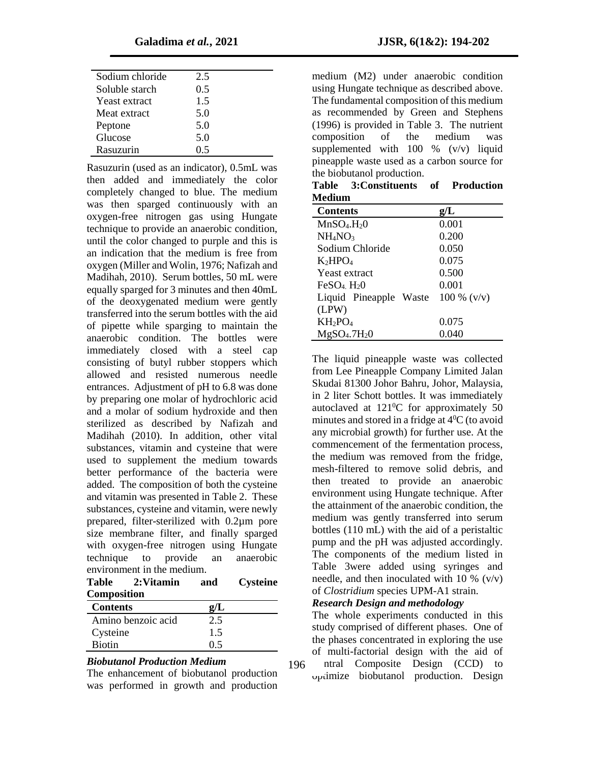| Sodium chloride | 2.5 |  |
|-----------------|-----|--|
| Soluble starch  | 0.5 |  |
| Yeast extract   | 1.5 |  |
| Meat extract    | 5.0 |  |
| Peptone         | 5.0 |  |
| Glucose         | 5.0 |  |
| Rasuzurin       | 0 5 |  |

Rasuzurin (used as an indicator), 0.5mL was then added and immediately the color completely changed to blue. The medium was then sparged continuously with an oxygen-free nitrogen gas using Hungate technique to provide an anaerobic condition, until the color changed to purple and this is an indication that the medium is free from oxygen (Miller and Wolin, 1976; Nafizah and Madihah, 2010). Serum bottles, 50 mL were equally sparged for 3 minutes and then 40mL of the deoxygenated medium were gently transferred into the serum bottles with the aid of pipette while sparging to maintain the anaerobic condition. The bottles were immediately closed with a steel cap consisting of butyl rubber stoppers which allowed and resisted numerous needle entrances. Adjustment of pH to 6.8 was done by preparing one molar of hydrochloric acid and a molar of sodium hydroxide and then sterilized as described by Nafizah and Madihah (2010). In addition, other vital substances, vitamin and cysteine that were used to supplement the medium towards better performance of the bacteria were added. The composition of both the cysteine and vitamin was presented in Table 2. These substances, cysteine and vitamin, were newly prepared, filter-sterilized with 0.2µm pore size membrane filter, and finally sparged with oxygen-free nitrogen using Hungate technique to provide an anaerobic environment in the medium.

| Table              | 2:Vitamin | and        | <b>Cysteine</b> |
|--------------------|-----------|------------|-----------------|
| <b>Composition</b> |           |            |                 |
| Contonta           |           | $\sim$ / I |                 |

| <b>Contents</b>    |     |  |
|--------------------|-----|--|
| Amino benzoic acid | 2.5 |  |
| Cysteine           | 1.5 |  |
| <b>Biotin</b>      | 0.5 |  |

### *Biobutanol Production Medium*

The enhancement of biobutanol production was performed in growth and production

medium (M2) under anaerobic condition using Hungate technique as described above. The fundamental composition of this medium as recommended by Green and Stephens (1996) is provided in Table 3. The nutrient composition of the medium was supplemented with  $100 \%$  (v/v) liquid pineapple waste used as a carbon source for the biobutanol production.

|               | Table 3: Constituents of Production |  |
|---------------|-------------------------------------|--|
| <b>Medium</b> |                                     |  |

| <b>Contents</b>                      | g/L            |  |  |
|--------------------------------------|----------------|--|--|
| MnSO <sub>4</sub> .H <sub>2</sub> O  | 0.001          |  |  |
| NH <sub>4</sub> NO <sub>3</sub>      | 0.200          |  |  |
| Sodium Chloride                      | 0.050          |  |  |
| $K_2HPO_4$                           | 0.075          |  |  |
| Yeast extract                        | 0.500          |  |  |
| $FeSO4$ $H20$                        | 0.001          |  |  |
| Liquid Pineapple Waste               | $100 \%$ (v/v) |  |  |
| (LPW)                                |                |  |  |
| $KH_2PO_4$                           | 0.075          |  |  |
| MgSO <sub>4</sub> .7H <sub>2</sub> O | 0.040          |  |  |

The liquid pineapple waste was collected from Lee Pineapple Company Limited Jalan Skudai 81300 Johor Bahru, Johor, Malaysia, in 2 liter Schott bottles. It was immediately autoclaved at  $121\degree$ C for approximately 50 minutes and stored in a fridge at  $4^{\circ}C$  (to avoid any microbial growth) for further use. At the commencement of the fermentation process, the medium was removed from the fridge, mesh-filtered to remove solid debris, and then treated to provide an anaerobic environment using Hungate technique. After the attainment of the anaerobic condition, the medium was gently transferred into serum bottles (110 mL) with the aid of a peristaltic pump and the pH was adjusted accordingly. The components of the medium listed in Table 3were added using syringes and needle, and then inoculated with 10  $\%$  (v/v) of *Clostridium* species UPM-A1 strain.

#### *Research Design and methodology*

The whole experiments conducted in this study comprised of different phases. One of the phases concentrated in exploring the use of multi-factorial design with the aid of

ntral Composite Design (CCD) to optimize biobutanol production. Design 196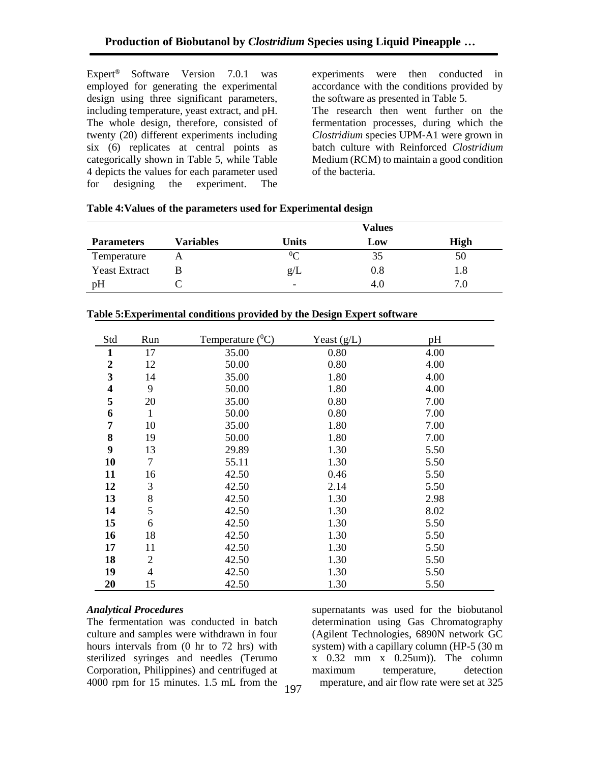Expert® Software Version 7.0.1 was employed for generating the experimental design using three significant parameters, including temperature, yeast extract, and pH. The whole design, therefore, consisted of twenty (20) different experiments including six (6) replicates at central points as categorically shown in Table 5, while Table 4 depicts the values for each parameter used for designing the experiment. The

experiments were then conducted in accordance with the conditions provided by the software as presented in Table 5. The research then went further on the fermentation processes, during which the *Clostridium* species UPM-A1 were grown in batch culture with Reinforced *Clostridium* Medium (RCM) to maintain a good condition

|                      |           | <b>Values</b>            |     |             |
|----------------------|-----------|--------------------------|-----|-------------|
| <b>Parameters</b>    | Variables | Units                    | Low | <b>High</b> |
| Temperature          |           | $0\Omega$                | 35  | 50          |
| <b>Yeast Extract</b> |           | g/L                      | 0.8 | $\cdot 8$   |
| pH                   |           | $\overline{\phantom{0}}$ | 4.0 | 7.0         |

of the bacteria.

|  |  | Table 4: Values of the parameters used for Experimental design |
|--|--|----------------------------------------------------------------|
|--|--|----------------------------------------------------------------|

| Std              | Run                      | Temperature $(^0C)$ | Yeast $(g/L)$ | pH   |
|------------------|--------------------------|---------------------|---------------|------|
| $\mathbf{1}$     | 17                       | 35.00               | 0.80          | 4.00 |
| $\boldsymbol{2}$ | 12                       | 50.00               | 0.80          | 4.00 |
| 3                | 14                       | 35.00               | 1.80          | 4.00 |
| 4                | 9                        | 50.00               | 1.80          | 4.00 |
| 5                | 20                       | 35.00               | 0.80          | 7.00 |
| 6                | $\mathbf{1}$             | 50.00               | 0.80          | 7.00 |
| 7                | 10                       | 35.00               | 1.80          | 7.00 |
| 8                | 19                       | 50.00               | 1.80          | 7.00 |
| 9                | 13                       | 29.89               | 1.30          | 5.50 |
| 10               | $\tau$                   | 55.11               | 1.30          | 5.50 |
| 11               | 16                       | 42.50               | 0.46          | 5.50 |
| 12               | 3                        | 42.50               | 2.14          | 5.50 |
| 13               | 8                        | 42.50               | 1.30          | 2.98 |
| 14               | 5                        | 42.50               | 1.30          | 8.02 |
| 15               | 6                        | 42.50               | 1.30          | 5.50 |
| 16               | 18                       | 42.50               | 1.30          | 5.50 |
| 17               | 11                       | 42.50               | 1.30          | 5.50 |
| 18               | $\overline{c}$           | 42.50               | 1.30          | 5.50 |
| 19               | $\overline{\mathcal{A}}$ | 42.50               | 1.30          | 5.50 |
| 20               | 15                       | 42.50               | 1.30          | 5.50 |

## **Table 5:Experimental conditions provided by the Design Expert software**

## *Analytical Procedures*

The fermentation was conducted in batch culture and samples were withdrawn in four hours intervals from (0 hr to 72 hrs) with sterilized syringes and needles (Terumo Corporation, Philippines) and centrifuged at 4000 rpm for 15 minutes. 1.5 mL from the

supernatants was used for the biobutanol determination using Gas Chromatography (Agilent Technologies, 6890N network GC system) with a capillary column (HP-5 (30 m  $x$  0.32 mm  $x$  0.25 um). The column maximum temperature, detection the measure, and air flow rate were set at  $325$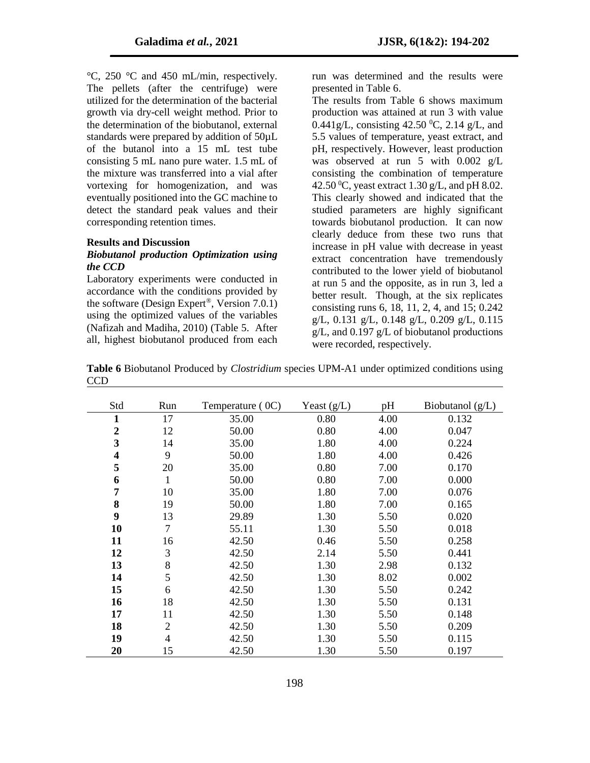°C, 250 °C and 450 mL/min, respectively. The pellets (after the centrifuge) were utilized for the determination of the bacterial growth via dry-cell weight method. Prior to the determination of the biobutanol, external standards were prepared by addition of 50µL of the butanol into a 15 mL test tube consisting 5 mL nano pure water. 1.5 mL of the mixture was transferred into a vial after vortexing for homogenization, and was eventually positioned into the GC machine to detect the standard peak values and their corresponding retention times.

#### **Results and Discussion**

## *Biobutanol production Optimization using the CCD*

Laboratory experiments were conducted in accordance with the conditions provided by the software (Design Expert®, Version 7.0.1) using the optimized values of the variables (Nafizah and Madiha, 2010) (Table 5. After all, highest biobutanol produced from each

run was determined and the results were presented in Table 6.

The results from Table 6 shows maximum production was attained at run 3 with value 0.441g/L, consisting 42.50 <sup>0</sup>C, 2.14 g/L, and 5.5 values of temperature, yeast extract, and pH, respectively. However, least production was observed at run 5 with 0.002 g/L consisting the combination of temperature 42.50  $^0$ C, yeast extract 1.30 g/L, and pH 8.02. This clearly showed and indicated that the studied parameters are highly significant towards biobutanol production. It can now clearly deduce from these two runs that increase in pH value with decrease in yeast extract concentration have tremendously contributed to the lower yield of biobutanol at run 5 and the opposite, as in run 3, led a better result. Though, at the six replicates consisting runs 6, 18, 11, 2, 4, and 15; 0.242 g/L, 0.131 g/L, 0.148 g/L, 0.209 g/L, 0.115 g/L, and 0.197 g/L of biobutanol productions were recorded, respectively.

**Table 6** Biobutanol Produced by *Clostridium* species UPM-A1 under optimized conditions using CCD

| Std                     | Run            | Temperature (0C) | Yeast $(g/L)$ | pH   | Biobutanol $(g/L)$ |
|-------------------------|----------------|------------------|---------------|------|--------------------|
| 1                       | 17             | 35.00            | 0.80          | 4.00 | 0.132              |
| $\boldsymbol{2}$        | 12             | 50.00            | 0.80          | 4.00 | 0.047              |
| 3                       | 14             | 35.00            | 1.80          | 4.00 | 0.224              |
| $\overline{\mathbf{4}}$ | 9              | 50.00            | 1.80          | 4.00 | 0.426              |
| 5                       | 20             | 35.00            | 0.80          | 7.00 | 0.170              |
| 6                       | 1              | 50.00            | 0.80          | 7.00 | 0.000              |
| 7                       | 10             | 35.00            | 1.80          | 7.00 | 0.076              |
| 8                       | 19             | 50.00            | 1.80          | 7.00 | 0.165              |
| 9                       | 13             | 29.89            | 1.30          | 5.50 | 0.020              |
| 10                      | $\overline{7}$ | 55.11            | 1.30          | 5.50 | 0.018              |
| 11                      | 16             | 42.50            | 0.46          | 5.50 | 0.258              |
| 12                      | 3              | 42.50            | 2.14          | 5.50 | 0.441              |
| 13                      | 8              | 42.50            | 1.30          | 2.98 | 0.132              |
| 14                      | 5              | 42.50            | 1.30          | 8.02 | 0.002              |
| 15                      | 6              | 42.50            | 1.30          | 5.50 | 0.242              |
| 16                      | 18             | 42.50            | 1.30          | 5.50 | 0.131              |
| 17                      | 11             | 42.50            | 1.30          | 5.50 | 0.148              |
| 18                      | $\mathbf{2}$   | 42.50            | 1.30          | 5.50 | 0.209              |
| 19                      | $\overline{4}$ | 42.50            | 1.30          | 5.50 | 0.115              |
| 20                      | 15             | 42.50            | 1.30          | 5.50 | 0.197              |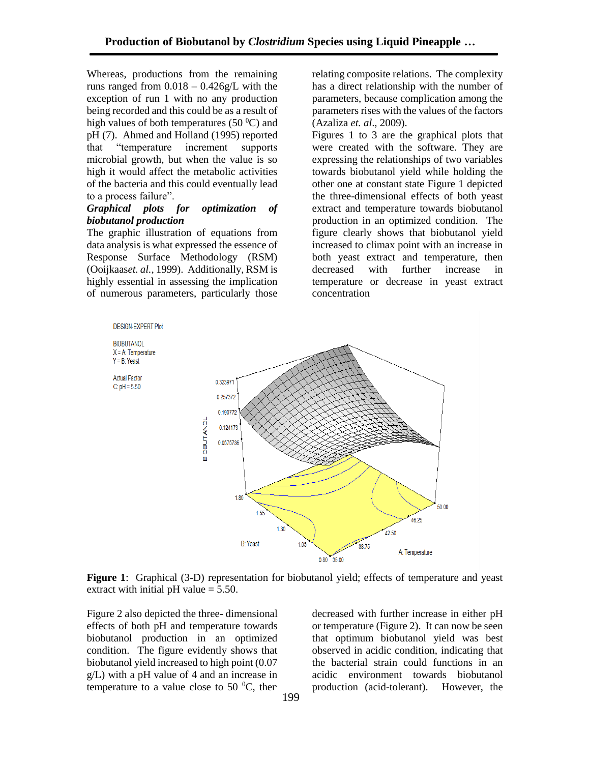Whereas, productions from the remaining runs ranged from  $0.018 - 0.426g/L$  with the exception of run 1 with no any production being recorded and this could be as a result of high values of both temperatures (50 $^{\circ}$ C) and pH (7). Ahmed and Holland (1995) reported that "temperature increment supports microbial growth, but when the value is so high it would affect the metabolic activities of the bacteria and this could eventually lead to a process failure".

## *Graphical plots for optimization of biobutanol production*

The graphic illustration of equations from data analysis is what expressed the essence of Response Surface Methodology (RSM) (Ooijkaas*et. al.*, 1999). Additionally, RSM is highly essential in assessing the implication of numerous parameters, particularly those relating composite relations. The complexity has a direct relationship with the number of parameters, because complication among the parameters rises with the values of the factors (Azaliza *et. al*., 2009).

Figures 1 to 3 are the graphical plots that were created with the software. They are expressing the relationships of two variables towards biobutanol yield while holding the other one at constant state Figure 1 depicted the three-dimensional effects of both yeast extract and temperature towards biobutanol production in an optimized condition. The figure clearly shows that biobutanol yield increased to climax point with an increase in both yeast extract and temperature, then decreased with further increase in temperature or decrease in yeast extract concentration



**Figure 1**: Graphical (3-D) representation for biobutanol yield; effects of temperature and yeast extract with initial pH value  $= 5.50$ .

Figure 2 also depicted the three- dimensional effects of both pH and temperature towards biobutanol production in an optimized condition. The figure evidently shows that biobutanol yield increased to high point (0.07 g/L) with a pH value of 4 and an increase in temperature to a value close to 50  $^{\circ}$ C, then

decreased with further increase in either pH or temperature (Figure 2). It can now be seen that optimum biobutanol yield was best observed in acidic condition, indicating that the bacterial strain could functions in an acidic environment towards biobutanol production (acid-tolerant). However, the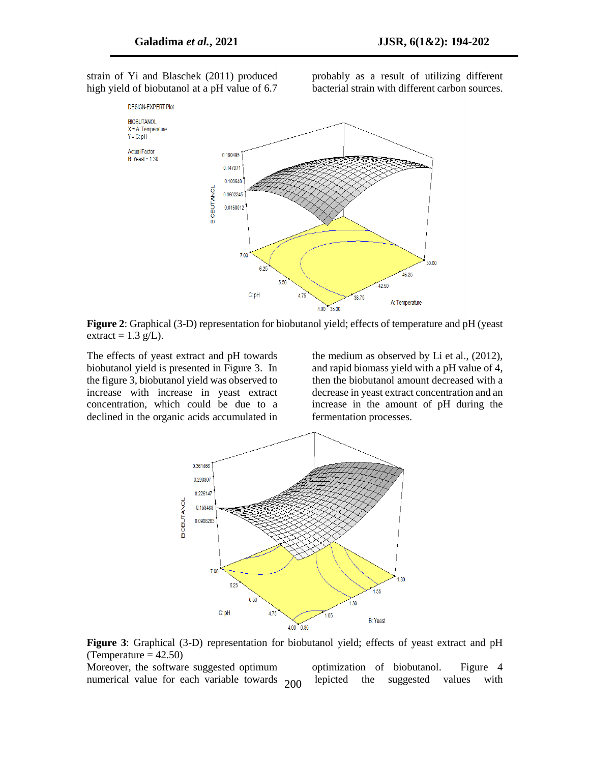strain of Yi and Blaschek (2011) produced high yield of biobutanol at a pH value of 6.7

probably as a result of utilizing different bacterial strain with different carbon sources.



**Figure 2**: Graphical (3-D) representation for biobutanol yield; effects of temperature and pH (yeast extract =  $1.3$  g/L).

The effects of yeast extract and pH towards biobutanol yield is presented in Figure 3. In the figure 3, biobutanol yield was observed to increase with increase in yeast extract concentration, which could be due to a declined in the organic acids accumulated in

the medium as observed by Li et al., (2012), and rapid biomass yield with a pH value of 4, then the biobutanol amount decreased with a decrease in yeast extract concentration and an increase in the amount of pH during the fermentation processes.



**Figure 3**: Graphical (3-D) representation for biobutanol yield; effects of yeast extract and pH (Temperature  $= 42.50$ )

Moreover, the software suggested optimum numerical value for each variable towards 200

optimization of biobutanol. Figure 4 depicted the suggested values with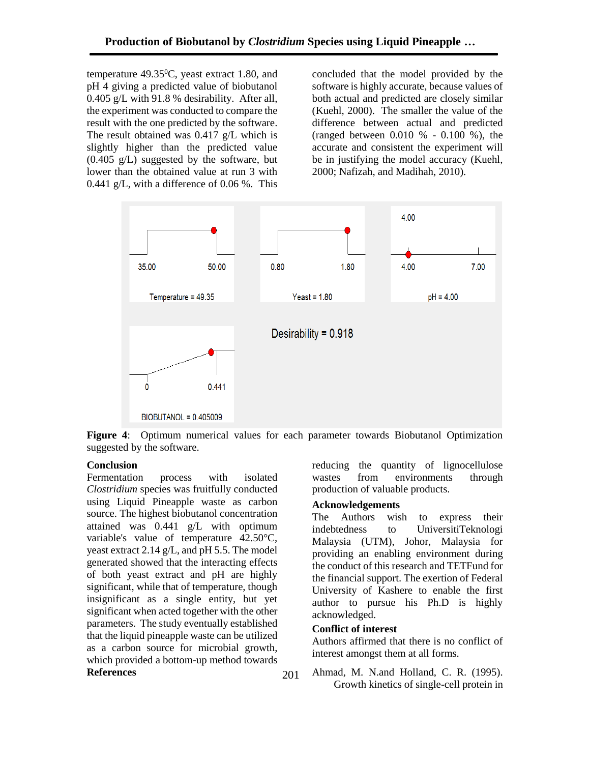temperature  $49.35^{\circ}$ C, yeast extract 1.80, and pH 4 giving a predicted value of biobutanol 0.405 g/L with 91.8 % desirability. After all, the experiment was conducted to compare the result with the one predicted by the software. The result obtained was 0.417 g/L which is slightly higher than the predicted value (0.405 g/L) suggested by the software, but lower than the obtained value at run 3 with 0.441 g/L, with a difference of 0.06 %. This concluded that the model provided by the software is highly accurate, because values of both actual and predicted are closely similar (Kuehl, 2000). The smaller the value of the difference between actual and predicted (ranged between 0.010 % - 0.100 %), the accurate and consistent the experiment will be in justifying the model accuracy (Kuehl, 2000; Nafizah, and Madihah, 2010).



**Figure 4**: Optimum numerical values for each parameter towards Biobutanol Optimization suggested by the software.

## **Conclusion**

Fermentation process with isolated *Clostridium* species was fruitfully conducted using Liquid Pineapple waste as carbon source. The highest biobutanol concentration attained was 0.441 g/L with optimum variable's value of temperature 42.50°C, yeast extract 2.14 g/L, and pH 5.5. The model generated showed that the interacting effects of both yeast extract and pH are highly significant, while that of temperature, though insignificant as a single entity, but yet significant when acted together with the other parameters. The study eventually established that the liquid pineapple waste can be utilized as a carbon source for microbial growth, which provided a bottom-up method towards 201 reducing the quantity of lignocellulose wastes from environments through production of valuable products.

## **Acknowledgements**

The Authors wish to express their indebtedness to UniversitiTeknologi Malaysia (UTM), Johor, Malaysia for providing an enabling environment during the conduct of this research and TETFund for the financial support. The exertion of Federal University of Kashere to enable the first author to pursue his Ph.D is highly acknowledged.

### **Conflict of interest**

Authors affirmed that there is no conflict of interest amongst them at all forms.

**References** 201 Ahmad, M. N.and Holland, C. R. (1995). Growth kinetics of single-cell protein in